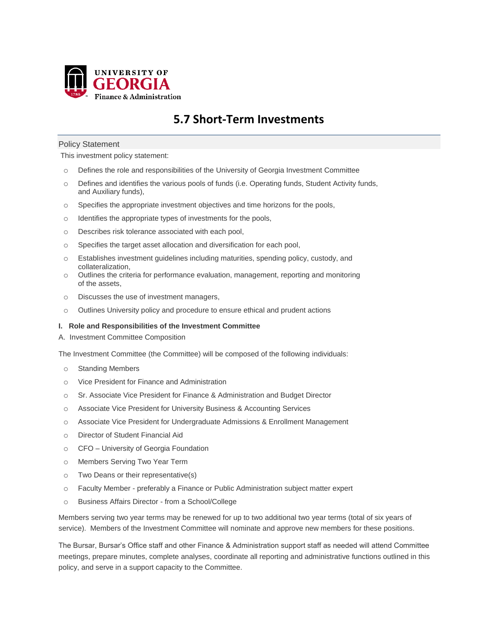

# **5.7 Short-Term Investments**

## Policy Statement

This investment policy statement:

- o Defines the role and responsibilities of the University of Georgia Investment Committee
- o Defines and identifies the various pools of funds (i.e. Operating funds, Student Activity funds, and Auxiliary funds),
- o Specifies the appropriate investment objectives and time horizons for the pools,
- o Identifies the appropriate types of investments for the pools,
- o Describes risk tolerance associated with each pool,
- o Specifies the target asset allocation and diversification for each pool,
- o Establishes investment guidelines including maturities, spending policy, custody, and collateralization,
- $\circ$  Outlines the criteria for performance evaluation, management, reporting and monitoring of the assets,
- o Discusses the use of investment managers,
- o Outlines University policy and procedure to ensure ethical and prudent actions

#### **I. Role and Responsibilities of the Investment Committee**

A. Investment Committee Composition

The Investment Committee (the Committee) will be composed of the following individuals:

- o Standing Members
- o Vice President for Finance and Administration
- o Sr. Associate Vice President for Finance & Administration and Budget Director
- o Associate Vice President for University Business & Accounting Services
- o Associate Vice President for Undergraduate Admissions & Enrollment Management
- o Director of Student Financial Aid
- o CFO University of Georgia Foundation
- o Members Serving Two Year Term
- o Two Deans or their representative(s)
- o Faculty Member preferably a Finance or Public Administration subject matter expert
- o Business Affairs Director from a School/College

Members serving two year terms may be renewed for up to two additional two year terms (total of six years of service). Members of the Investment Committee will nominate and approve new members for these positions.

The Bursar, Bursar's Office staff and other Finance & Administration support staff as needed will attend Committee meetings, prepare minutes, complete analyses, coordinate all reporting and administrative functions outlined in this policy, and serve in a support capacity to the Committee.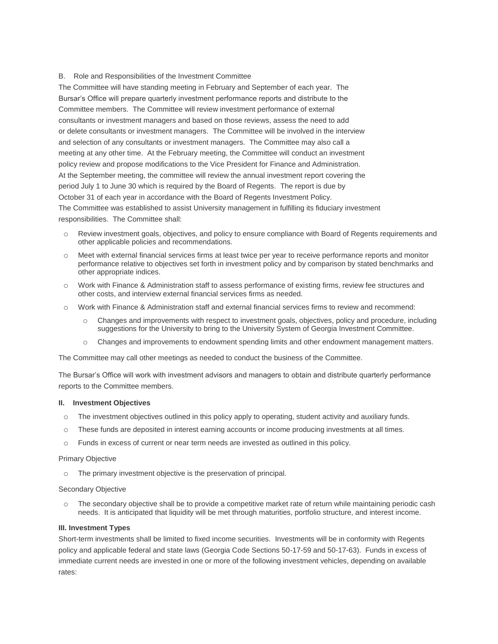# B. Role and Responsibilities of the Investment Committee

The Committee will have standing meeting in February and September of each year. The Bursar's Office will prepare quarterly investment performance reports and distribute to the Committee members. The Committee will review investment performance of external consultants or investment managers and based on those reviews, assess the need to add or delete consultants or investment managers. The Committee will be involved in the interview and selection of any consultants or investment managers. The Committee may also call a meeting at any other time. At the February meeting, the Committee will conduct an investment policy review and propose modifications to the Vice President for Finance and Administration. At the September meeting, the committee will review the annual investment report covering the period July 1 to June 30 which is required by the Board of Regents. The report is due by October 31 of each year in accordance with the Board of Regents Investment Policy. The Committee was established to assist University management in fulfilling its fiduciary investment responsibilities. The Committee shall:

- o Review investment goals, objectives, and policy to ensure compliance with Board of Regents requirements and other applicable policies and recommendations.
- o Meet with external financial services firms at least twice per year to receive performance reports and monitor performance relative to objectives set forth in investment policy and by comparison by stated benchmarks and other appropriate indices.
- o Work with Finance & Administration staff to assess performance of existing firms, review fee structures and other costs, and interview external financial services firms as needed.
- o Work with Finance & Administration staff and external financial services firms to review and recommend:
	- o Changes and improvements with respect to investment goals, objectives, policy and procedure, including suggestions for the University to bring to the University System of Georgia Investment Committee.
	- o Changes and improvements to endowment spending limits and other endowment management matters.

The Committee may call other meetings as needed to conduct the business of the Committee.

The Bursar's Office will work with investment advisors and managers to obtain and distribute quarterly performance reports to the Committee members.

## **II. Investment Objectives**

- o The investment objectives outlined in this policy apply to operating, student activity and auxiliary funds.
- o These funds are deposited in interest earning accounts or income producing investments at all times.
- o Funds in excess of current or near term needs are invested as outlined in this policy.

#### Primary Objective

o The primary investment objective is the preservation of principal.

## Secondary Objective

o The secondary objective shall be to provide a competitive market rate of return while maintaining periodic cash needs. It is anticipated that liquidity will be met through maturities, portfolio structure, and interest income.

## **III. Investment Types**

Short-term investments shall be limited to fixed income securities. Investments will be in conformity with Regents policy and applicable federal and state laws (Georgia Code Sections 50-17-59 and 50-17-63). Funds in excess of immediate current needs are invested in one or more of the following investment vehicles, depending on available rates: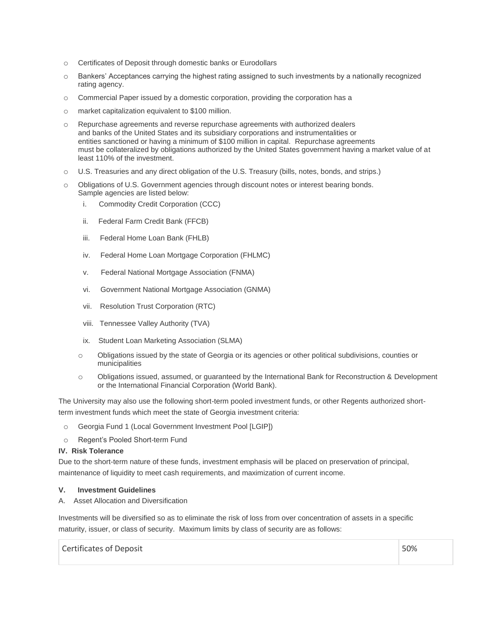- o Certificates of Deposit through domestic banks or Eurodollars
- o Bankers' Acceptances carrying the highest rating assigned to such investments by a nationally recognized rating agency.
- o Commercial Paper issued by a domestic corporation, providing the corporation has a
- o market capitalization equivalent to \$100 million.
- o Repurchase agreements and reverse repurchase agreements with authorized dealers and banks of the United States and its subsidiary corporations and instrumentalities or entities sanctioned or having a minimum of \$100 million in capital. Repurchase agreements must be collateralized by obligations authorized by the United States government having a market value of at least 110% of the investment.
- o U.S. Treasuries and any direct obligation of the U.S. Treasury (bills, notes, bonds, and strips.)
- o Obligations of U.S. Government agencies through discount notes or interest bearing bonds. Sample agencies are listed below:
	- i. Commodity Credit Corporation (CCC)
	- ii. Federal Farm Credit Bank (FFCB)
	- iii. Federal Home Loan Bank (FHLB)
	- iv. Federal Home Loan Mortgage Corporation (FHLMC)
	- v. Federal National Mortgage Association (FNMA)
	- vi. Government National Mortgage Association (GNMA)
	- vii. Resolution Trust Corporation (RTC)
	- viii. Tennessee Valley Authority (TVA)
	- ix. Student Loan Marketing Association (SLMA)
	- o Obligations issued by the state of Georgia or its agencies or other political subdivisions, counties or municipalities
	- o Obligations issued, assumed, or guaranteed by the International Bank for Reconstruction & Development or the International Financial Corporation (World Bank).

The University may also use the following short-term pooled investment funds, or other Regents authorized shortterm investment funds which meet the state of Georgia investment criteria:

- o Georgia Fund 1 (Local Government Investment Pool [LGIP])
- o Regent's Pooled Short-term Fund

#### **IV. Risk Tolerance**

Due to the short-term nature of these funds, investment emphasis will be placed on preservation of principal, maintenance of liquidity to meet cash requirements, and maximization of current income.

#### **V. Investment Guidelines**

A. Asset Allocation and Diversification

Investments will be diversified so as to eliminate the risk of loss from over concentration of assets in a specific maturity, issuer, or class of security. Maximum limits by class of security are as follows:

Certificates of Deposit **50%**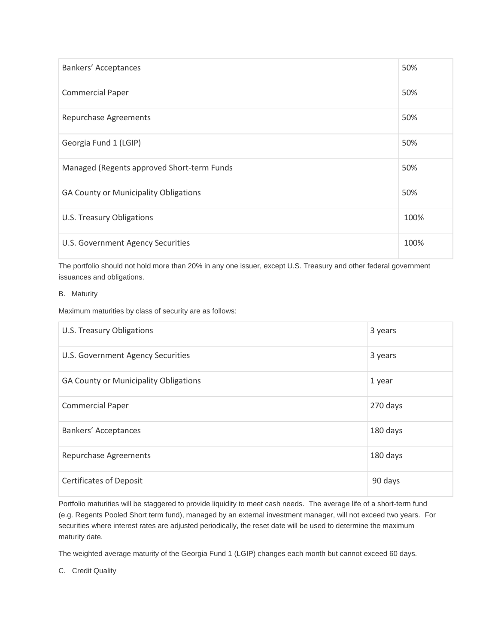| Bankers' Acceptances                         | 50%  |
|----------------------------------------------|------|
| <b>Commercial Paper</b>                      | 50%  |
| <b>Repurchase Agreements</b>                 | 50%  |
| Georgia Fund 1 (LGIP)                        | 50%  |
| Managed (Regents approved Short-term Funds   | 50%  |
| <b>GA County or Municipality Obligations</b> | 50%  |
| U.S. Treasury Obligations                    | 100% |
| U.S. Government Agency Securities            | 100% |

The portfolio should not hold more than 20% in any one issuer, except U.S. Treasury and other federal government issuances and obligations.

# B. Maturity

Maximum maturities by class of security are as follows:

| U.S. Treasury Obligations             | 3 years  |
|---------------------------------------|----------|
| U.S. Government Agency Securities     | 3 years  |
| GA County or Municipality Obligations | 1 year   |
| <b>Commercial Paper</b>               | 270 days |
| Bankers' Acceptances                  | 180 days |
| <b>Repurchase Agreements</b>          | 180 days |
| <b>Certificates of Deposit</b>        | 90 days  |

Portfolio maturities will be staggered to provide liquidity to meet cash needs. The average life of a short-term fund (e.g. Regents Pooled Short term fund), managed by an external investment manager, will not exceed two years. For securities where interest rates are adjusted periodically, the reset date will be used to determine the maximum maturity date.

The weighted average maturity of the Georgia Fund 1 (LGIP) changes each month but cannot exceed 60 days.

C. Credit Quality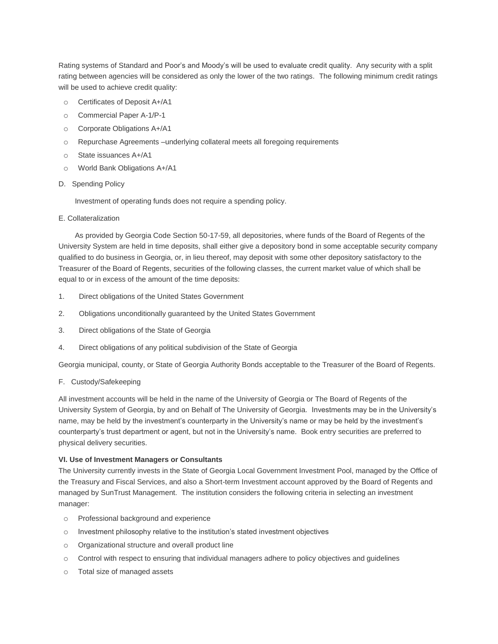Rating systems of Standard and Poor's and Moody's will be used to evaluate credit quality. Any security with a split rating between agencies will be considered as only the lower of the two ratings. The following minimum credit ratings will be used to achieve credit quality:

- o Certificates of Deposit A+/A1
- o Commercial Paper A-1/P-1
- o Corporate Obligations A+/A1
- o Repurchase Agreements –underlying collateral meets all foregoing requirements
- o State issuances A+/A1
- o World Bank Obligations A+/A1
- D. Spending Policy

Investment of operating funds does not require a spending policy.

E. Collateralization

 As provided by Georgia Code Section 50-17-59, all depositories, where funds of the Board of Regents of the University System are held in time deposits, shall either give a depository bond in some acceptable security company qualified to do business in Georgia, or, in lieu thereof, may deposit with some other depository satisfactory to the Treasurer of the Board of Regents, securities of the following classes, the current market value of which shall be equal to or in excess of the amount of the time deposits:

- 1. Direct obligations of the United States Government
- 2. Obligations unconditionally guaranteed by the United States Government
- 3. Direct obligations of the State of Georgia
- 4. Direct obligations of any political subdivision of the State of Georgia

Georgia municipal, county, or State of Georgia Authority Bonds acceptable to the Treasurer of the Board of Regents.

F. Custody/Safekeeping

All investment accounts will be held in the name of the University of Georgia or The Board of Regents of the University System of Georgia, by and on Behalf of The University of Georgia. Investments may be in the University's name, may be held by the investment's counterparty in the University's name or may be held by the investment's counterparty's trust department or agent, but not in the University's name. Book entry securities are preferred to physical delivery securities.

## **VI. Use of Investment Managers or Consultants**

The University currently invests in the State of Georgia Local Government Investment Pool, managed by the Office of the Treasury and Fiscal Services, and also a Short-term Investment account approved by the Board of Regents and managed by SunTrust Management. The institution considers the following criteria in selecting an investment manager:

- o Professional background and experience
- o Investment philosophy relative to the institution's stated investment objectives
- o Organizational structure and overall product line
- $\circ$  Control with respect to ensuring that individual managers adhere to policy objectives and quidelines
- o Total size of managed assets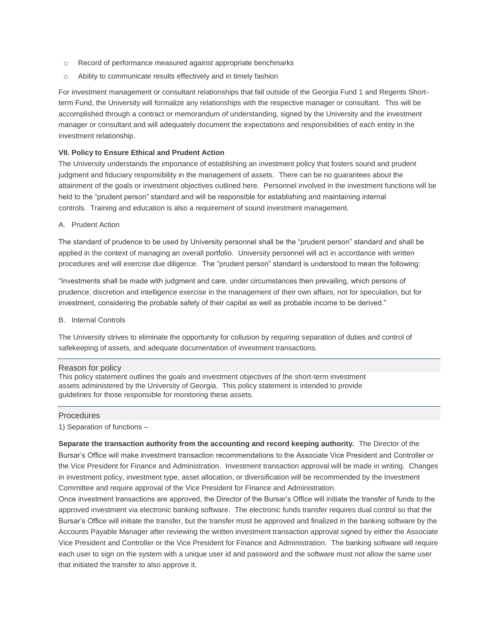- o Record of performance measured against appropriate benchmarks
- o Ability to communicate results effectively and in timely fashion

For investment management or consultant relationships that fall outside of the Georgia Fund 1 and Regents Shortterm Fund, the University will formalize any relationships with the respective manager or consultant. This will be accomplished through a contract or memorandum of understanding, signed by the University and the investment manager or consultant and will adequately document the expectations and responsibilities of each entity in the investment relationship.

## **VII. Policy to Ensure Ethical and Prudent Action**

The University understands the importance of establishing an investment policy that fosters sound and prudent judgment and fiduciary responsibility in the management of assets. There can be no guarantees about the attainment of the goals or investment objectives outlined here. Personnel involved in the investment functions will be held to the "prudent person" standard and will be responsible for establishing and maintaining internal controls. Training and education is also a requirement of sound investment management.

## A. Prudent Action

The standard of prudence to be used by University personnel shall be the "prudent person" standard and shall be applied in the context of managing an overall portfolio. University personnel will act in accordance with written procedures and will exercise due diligence. The "prudent person" standard is understood to mean the following:

"Investments shall be made with judgment and care, under circumstances then prevailing, which persons of prudence, discretion and intelligence exercise in the management of their own affairs, not for speculation, but for investment, considering the probable safety of their capital as well as probable income to be derived."

B. Internal Controls

The University strives to eliminate the opportunity for collusion by requiring separation of duties and control of safekeeping of assets, and adequate documentation of investment transactions.

## Reason for policy

This policy statement outlines the goals and investment objectives of the short-term investment assets administered by the University of Georgia. This policy statement is intended to provide guidelines for those responsible for monitoring these assets.

#### Procedures

1) Separation of functions –

**Separate the transaction authority from the accounting and record keeping authority.** The Director of the Bursar's Office will make investment transaction recommendations to the Associate Vice President and Controller or the Vice President for Finance and Administration. Investment transaction approval will be made in writing. Changes in investment policy, investment type, asset allocation, or diversification will be recommended by the Investment Committee and require approval of the Vice President for Finance and Administration.

Once investment transactions are approved, the Director of the Bursar's Office will initiate the transfer of funds to the approved investment via electronic banking software. The electronic funds transfer requires dual control so that the Bursar's Office will initiate the transfer, but the transfer must be approved and finalized in the banking software by the Accounts Payable Manager after reviewing the written investment transaction approval signed by either the Associate Vice President and Controller or the Vice President for Finance and Administration. The banking software will require each user to sign on the system with a unique user id and password and the software must not allow the same user that initiated the transfer to also approve it.